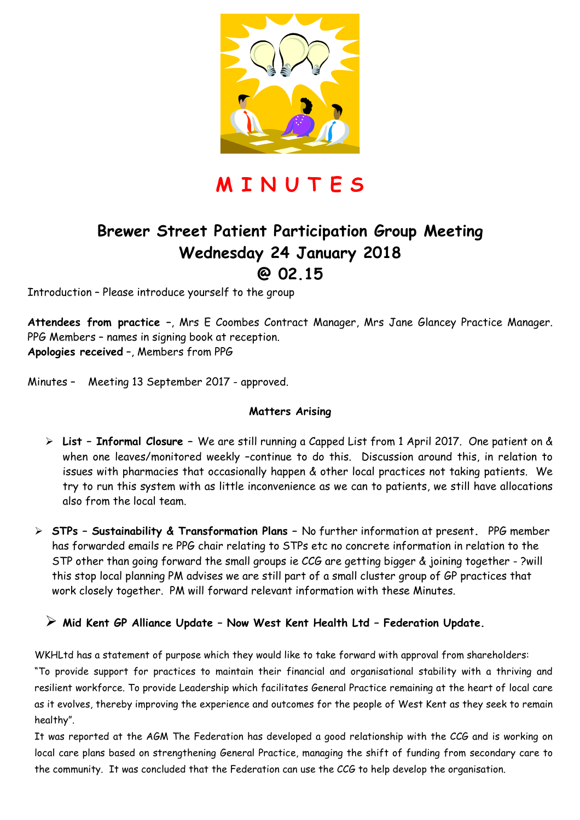

**M I N U T E S** 

## **Brewer Street Patient Participation Group Meeting Wednesday 24 January 2018 @ 02.15**

Introduction – Please introduce yourself to the group

**Attendees from practice –**, Mrs E Coombes Contract Manager, Mrs Jane Glancey Practice Manager. PPG Members – names in signing book at reception. **Apologies received** –, Members from PPG

Minutes – Meeting 13 September 2017 - approved.

#### **Matters Arising**

- **List Informal Closure** We are still running a Capped List from 1 April 2017. One patient on & when one leaves/monitored weekly -continue to do this. Discussion around this, in relation to issues with pharmacies that occasionally happen & other local practices not taking patients. We try to run this system with as little inconvenience as we can to patients, we still have allocations also from the local team.
- **STPs Sustainability & Transformation Plans** No further information at present**.** PPG member has forwarded emails re PPG chair relating to STPs etc no concrete information in relation to the STP other than going forward the small groups ie CCG are getting bigger & joining together - ?will this stop local planning PM advises we are still part of a small cluster group of GP practices that work closely together. PM will forward relevant information with these Minutes.

#### **Mid Kent GP Alliance Update – Now West Kent Health Ltd – Federation Update.**

WKHLtd has a statement of purpose which they would like to take forward with approval from shareholders: "To provide support for practices to maintain their financial and organisational stability with a thriving and resilient workforce. To provide Leadership which facilitates General Practice remaining at the heart of local care as it evolves, thereby improving the experience and outcomes for the people of West Kent as they seek to remain healthy".

It was reported at the AGM The Federation has developed a good relationship with the CCG and is working on local care plans based on strengthening General Practice, managing the shift of funding from secondary care to the community. It was concluded that the Federation can use the CCG to help develop the organisation.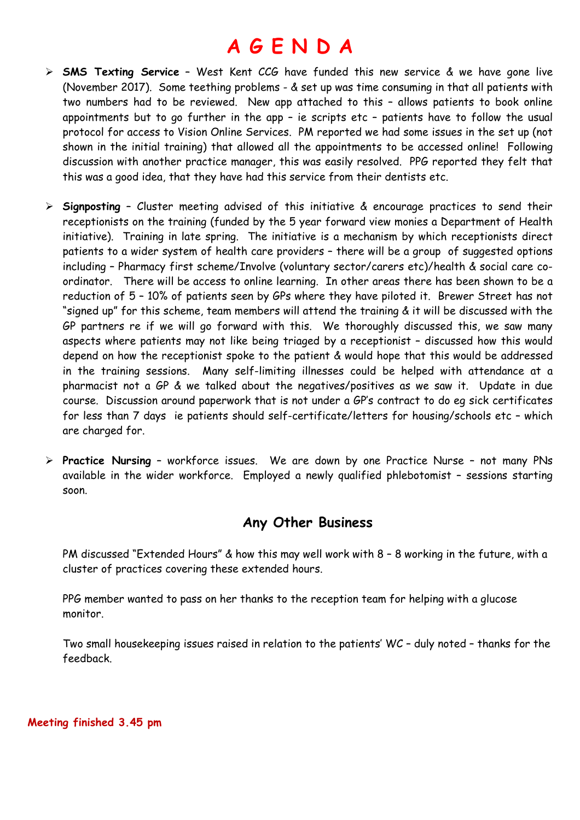# **A G E N D A**

- **SMS Texting Service** West Kent CCG have funded this new service & we have gone live (November 2017). Some teething problems - & set up was time consuming in that all patients with two numbers had to be reviewed. New app attached to this – allows patients to book online appointments but to go further in the app – ie scripts etc – patients have to follow the usual protocol for access to Vision Online Services. PM reported we had some issues in the set up (not shown in the initial training) that allowed all the appointments to be accessed online! Following discussion with another practice manager, this was easily resolved. PPG reported they felt that this was a good idea, that they have had this service from their dentists etc.
- **Signposting** Cluster meeting advised of this initiative & encourage practices to send their receptionists on the training (funded by the 5 year forward view monies a Department of Health initiative). Training in late spring. The initiative is a mechanism by which receptionists direct patients to a wider system of health care providers – there will be a group of suggested options including – Pharmacy first scheme/Involve (voluntary sector/carers etc)/health & social care coordinator. There will be access to online learning. In other areas there has been shown to be a reduction of 5 – 10% of patients seen by GPs where they have piloted it. Brewer Street has not "signed up" for this scheme, team members will attend the training & it will be discussed with the GP partners re if we will go forward with this. We thoroughly discussed this, we saw many aspects where patients may not like being triaged by a receptionist – discussed how this would depend on how the receptionist spoke to the patient & would hope that this would be addressed in the training sessions. Many self-limiting illnesses could be helped with attendance at a pharmacist not a GP & we talked about the negatives/positives as we saw it. Update in due course. Discussion around paperwork that is not under a GP's contract to do eg sick certificates for less than 7 days ie patients should self-certificate/letters for housing/schools etc – which are charged for.
- **Practice Nursing** workforce issues. We are down by one Practice Nurse not many PNs available in the wider workforce. Employed a newly qualified phlebotomist – sessions starting soon.

### **Any Other Business**

PM discussed "Extended Hours" & how this may well work with 8 – 8 working in the future, with a cluster of practices covering these extended hours.

PPG member wanted to pass on her thanks to the reception team for helping with a glucose monitor.

Two small housekeeping issues raised in relation to the patients' WC – duly noted – thanks for the feedback.

**Meeting finished 3.45 pm**